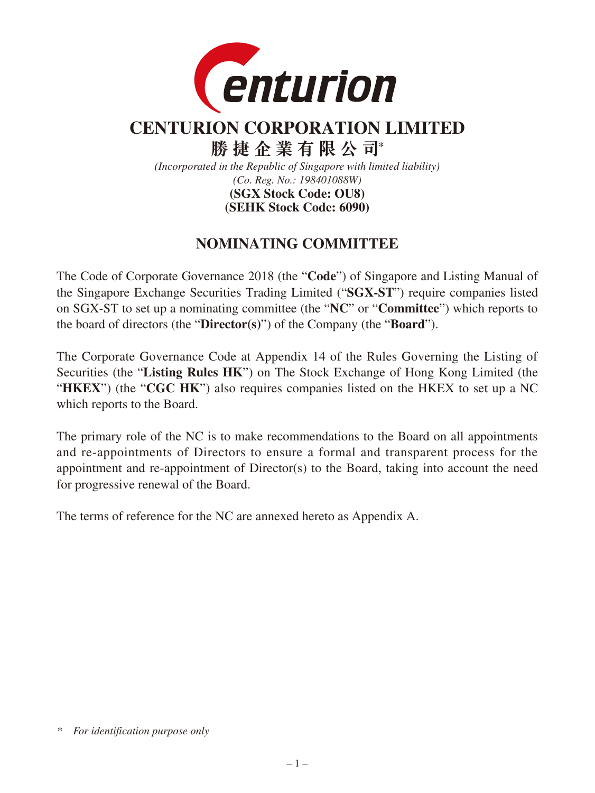

# **CENTURION CORPORATION LIMITED**

**勝捷企業有限公司\***

*(Incorporated in the Republic of Singapore with limited liability) (Co. Reg. No.: 198401088W)*

**(SEHK Stock Code: 6090) (SGX Stock Code: OU8)**

# **NOMINATING COMMITTEE**

The Code of Corporate Governance 2018 (the "**Code**") of Singapore and Listing Manual of the Singapore Exchange Securities Trading Limited ("**SGX-ST**") require companies listed on SGX-ST to set up a nominating committee (the "**NC**" or "**Committee**") which reports to the board of directors (the "**Director(s)**") of the Company (the "**Board**").

The Corporate Governance Code at Appendix 14 of the Rules Governing the Listing of Securities (the "**Listing Rules HK**") on The Stock Exchange of Hong Kong Limited (the "**HKEX**") (the "**CGC HK**") also requires companies listed on the HKEX to set up a NC which reports to the Board.

The primary role of the NC is to make recommendations to the Board on all appointments and re-appointments of Directors to ensure a formal and transparent process for the appointment and re-appointment of Director(s) to the Board, taking into account the need for progressive renewal of the Board.

The terms of reference for the NC are annexed hereto as Appendix A.

*<sup>\*</sup> For identification purpose only*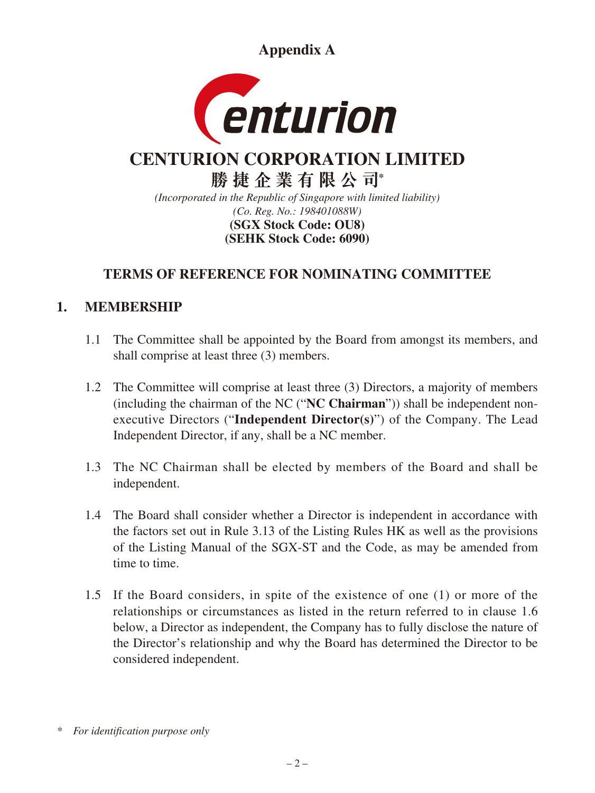**Appendix A**



# **CENTURION CORPORATION LIMITED**

**勝捷企業有限公司\*** *(Incorporated in the Republic of Singapore with limited liability) (Co. Reg. No.: 198401088W)* **(SEHK Stock Code: 6090) (SGX Stock Code: OU8)**

# **TERMS OF REFERENCE FOR NOMINATING COMMITTEE**

# **1. MEMBERSHIP**

- 1.1 The Committee shall be appointed by the Board from amongst its members, and shall comprise at least three (3) members.
- 1.2 The Committee will comprise at least three (3) Directors, a majority of members (including the chairman of the NC ("**NC Chairman**")) shall be independent nonexecutive Directors ("**Independent Director(s)**") of the Company. The Lead Independent Director, if any, shall be a NC member.
- 1.3 The NC Chairman shall be elected by members of the Board and shall be independent.
- 1.4 The Board shall consider whether a Director is independent in accordance with the factors set out in Rule 3.13 of the Listing Rules HK as well as the provisions of the Listing Manual of the SGX-ST and the Code, as may be amended from time to time.
- 1.5 If the Board considers, in spite of the existence of one (1) or more of the relationships or circumstances as listed in the return referred to in clause 1.6 below, a Director as independent, the Company has to fully disclose the nature of the Director's relationship and why the Board has determined the Director to be considered independent.

*<sup>\*</sup> For identification purpose only*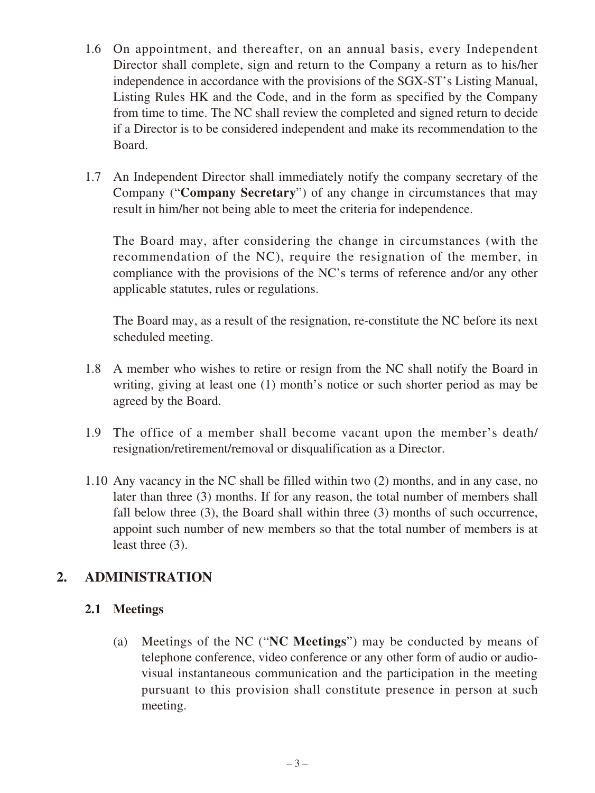- 1.6 On appointment, and thereafter, on an annual basis, every Independent Director shall complete, sign and return to the Company a return as to his/her independence in accordance with the provisions of the SGX-ST's Listing Manual, Listing Rules HK and the Code, and in the form as specified by the Company from time to time. The NC shall review the completed and signed return to decide if a Director is to be considered independent and make its recommendation to the Board.
- 1.7 An Independent Director shall immediately notify the company secretary of the Company ("**Company Secretary**") of any change in circumstances that may result in him/her not being able to meet the criteria for independence.

The Board may, after considering the change in circumstances (with the recommendation of the NC), require the resignation of the member, in compliance with the provisions of the NC's terms of reference and/or any other applicable statutes, rules or regulations.

The Board may, as a result of the resignation, re-constitute the NC before its next scheduled meeting.

- 1.8 A member who wishes to retire or resign from the NC shall notify the Board in writing, giving at least one (1) month's notice or such shorter period as may be agreed by the Board.
- 1.9 The office of a member shall become vacant upon the member's death/ resignation/retirement/removal or disqualification as a Director.
- 1.10 Any vacancy in the NC shall be filled within two (2) months, and in any case, no later than three (3) months. If for any reason, the total number of members shall fall below three (3), the Board shall within three (3) months of such occurrence, appoint such number of new members so that the total number of members is at least three (3).

# **2. ADMINISTRATION**

#### **2.1 Meetings**

(a) Meetings of the NC ("**NC Meetings**") may be conducted by means of telephone conference, video conference or any other form of audio or audiovisual instantaneous communication and the participation in the meeting pursuant to this provision shall constitute presence in person at such meeting.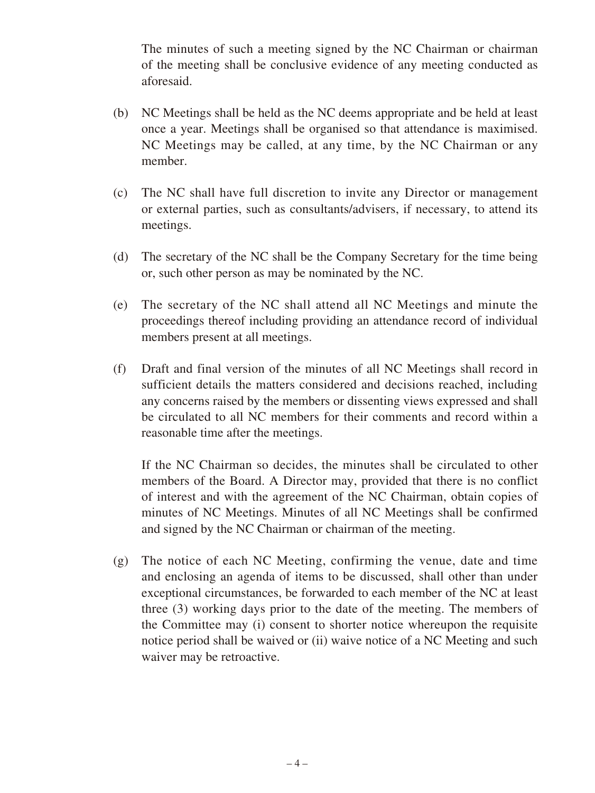The minutes of such a meeting signed by the NC Chairman or chairman of the meeting shall be conclusive evidence of any meeting conducted as aforesaid.

- (b) NC Meetings shall be held as the NC deems appropriate and be held at least once a year. Meetings shall be organised so that attendance is maximised. NC Meetings may be called, at any time, by the NC Chairman or any member.
- (c) The NC shall have full discretion to invite any Director or management or external parties, such as consultants/advisers, if necessary, to attend its meetings.
- (d) The secretary of the NC shall be the Company Secretary for the time being or, such other person as may be nominated by the NC.
- (e) The secretary of the NC shall attend all NC Meetings and minute the proceedings thereof including providing an attendance record of individual members present at all meetings.
- (f) Draft and final version of the minutes of all NC Meetings shall record in sufficient details the matters considered and decisions reached, including any concerns raised by the members or dissenting views expressed and shall be circulated to all NC members for their comments and record within a reasonable time after the meetings.

If the NC Chairman so decides, the minutes shall be circulated to other members of the Board. A Director may, provided that there is no conflict of interest and with the agreement of the NC Chairman, obtain copies of minutes of NC Meetings. Minutes of all NC Meetings shall be confirmed and signed by the NC Chairman or chairman of the meeting.

(g) The notice of each NC Meeting, confirming the venue, date and time and enclosing an agenda of items to be discussed, shall other than under exceptional circumstances, be forwarded to each member of the NC at least three (3) working days prior to the date of the meeting. The members of the Committee may (i) consent to shorter notice whereupon the requisite notice period shall be waived or (ii) waive notice of a NC Meeting and such waiver may be retroactive.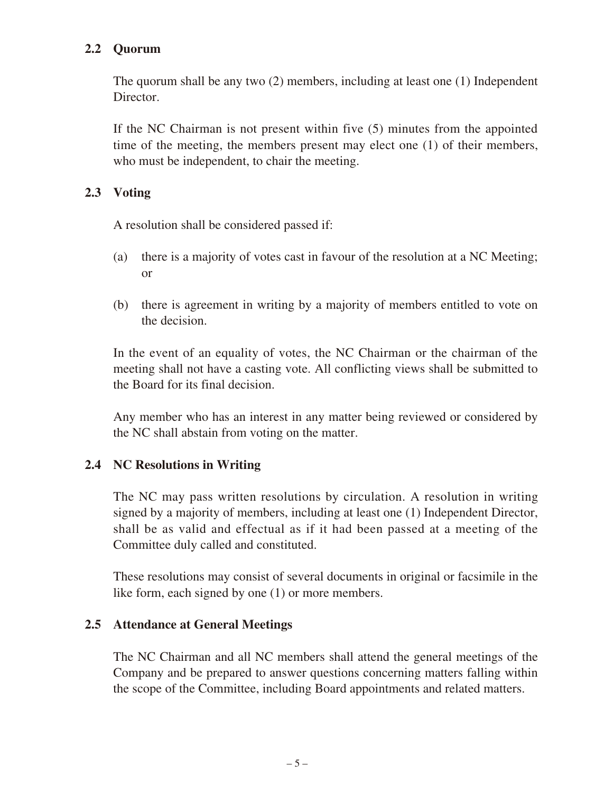#### **2.2 Quorum**

The quorum shall be any two (2) members, including at least one (1) Independent Director.

If the NC Chairman is not present within five (5) minutes from the appointed time of the meeting, the members present may elect one (1) of their members, who must be independent, to chair the meeting.

#### **2.3 Voting**

A resolution shall be considered passed if:

- (a) there is a majority of votes cast in favour of the resolution at a NC Meeting; or
- (b) there is agreement in writing by a majority of members entitled to vote on the decision.

In the event of an equality of votes, the NC Chairman or the chairman of the meeting shall not have a casting vote. All conflicting views shall be submitted to the Board for its final decision.

Any member who has an interest in any matter being reviewed or considered by the NC shall abstain from voting on the matter.

#### **2.4 NC Resolutions in Writing**

The NC may pass written resolutions by circulation. A resolution in writing signed by a majority of members, including at least one (1) Independent Director, shall be as valid and effectual as if it had been passed at a meeting of the Committee duly called and constituted.

These resolutions may consist of several documents in original or facsimile in the like form, each signed by one (1) or more members.

#### **2.5 Attendance at General Meetings**

The NC Chairman and all NC members shall attend the general meetings of the Company and be prepared to answer questions concerning matters falling within the scope of the Committee, including Board appointments and related matters.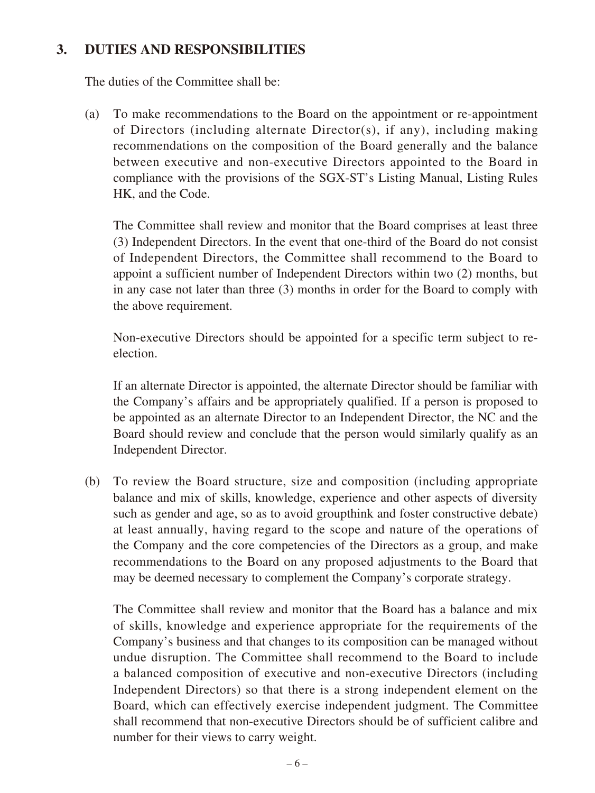#### **3. DUTIES AND RESPONSIBILITIES**

The duties of the Committee shall be:

(a) To make recommendations to the Board on the appointment or re-appointment of Directors (including alternate Director(s), if any), including making recommendations on the composition of the Board generally and the balance between executive and non-executive Directors appointed to the Board in compliance with the provisions of the SGX-ST's Listing Manual, Listing Rules HK, and the Code.

The Committee shall review and monitor that the Board comprises at least three (3) Independent Directors. In the event that one-third of the Board do not consist of Independent Directors, the Committee shall recommend to the Board to appoint a sufficient number of Independent Directors within two (2) months, but in any case not later than three (3) months in order for the Board to comply with the above requirement.

Non-executive Directors should be appointed for a specific term subject to reelection.

If an alternate Director is appointed, the alternate Director should be familiar with the Company's affairs and be appropriately qualified. If a person is proposed to be appointed as an alternate Director to an Independent Director, the NC and the Board should review and conclude that the person would similarly qualify as an Independent Director.

(b) To review the Board structure, size and composition (including appropriate balance and mix of skills, knowledge, experience and other aspects of diversity such as gender and age, so as to avoid groupthink and foster constructive debate) at least annually, having regard to the scope and nature of the operations of the Company and the core competencies of the Directors as a group, and make recommendations to the Board on any proposed adjustments to the Board that may be deemed necessary to complement the Company's corporate strategy.

The Committee shall review and monitor that the Board has a balance and mix of skills, knowledge and experience appropriate for the requirements of the Company's business and that changes to its composition can be managed without undue disruption. The Committee shall recommend to the Board to include a balanced composition of executive and non-executive Directors (including Independent Directors) so that there is a strong independent element on the Board, which can effectively exercise independent judgment. The Committee shall recommend that non-executive Directors should be of sufficient calibre and number for their views to carry weight.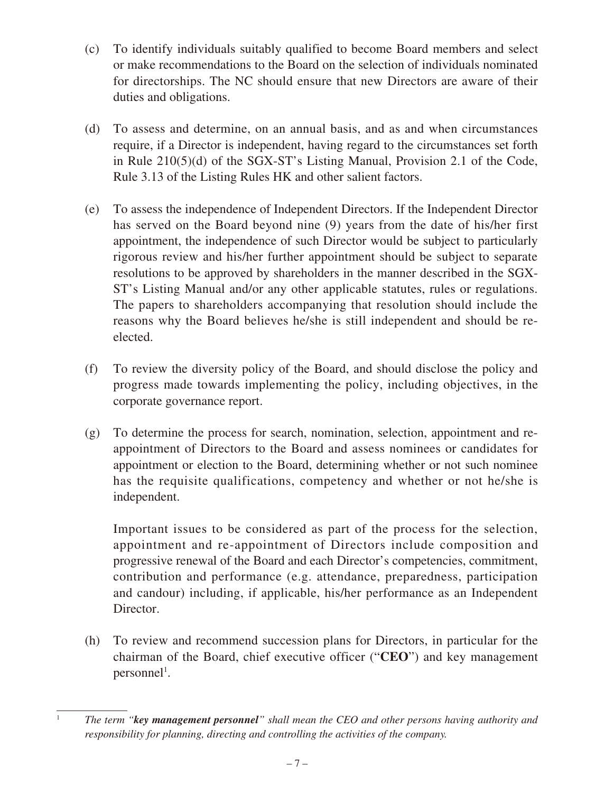- (c) To identify individuals suitably qualified to become Board members and select or make recommendations to the Board on the selection of individuals nominated for directorships. The NC should ensure that new Directors are aware of their duties and obligations.
- (d) To assess and determine, on an annual basis, and as and when circumstances require, if a Director is independent, having regard to the circumstances set forth in Rule 210(5)(d) of the SGX-ST's Listing Manual, Provision 2.1 of the Code, Rule 3.13 of the Listing Rules HK and other salient factors.
- (e) To assess the independence of Independent Directors. If the Independent Director has served on the Board beyond nine (9) years from the date of his/her first appointment, the independence of such Director would be subject to particularly rigorous review and his/her further appointment should be subject to separate resolutions to be approved by shareholders in the manner described in the SGX-ST's Listing Manual and/or any other applicable statutes, rules or regulations. The papers to shareholders accompanying that resolution should include the reasons why the Board believes he/she is still independent and should be reelected.
- (f) To review the diversity policy of the Board, and should disclose the policy and progress made towards implementing the policy, including objectives, in the corporate governance report.
- (g) To determine the process for search, nomination, selection, appointment and reappointment of Directors to the Board and assess nominees or candidates for appointment or election to the Board, determining whether or not such nominee has the requisite qualifications, competency and whether or not he/she is independent.

Important issues to be considered as part of the process for the selection, appointment and re-appointment of Directors include composition and progressive renewal of the Board and each Director's competencies, commitment, contribution and performance (e.g. attendance, preparedness, participation and candour) including, if applicable, his/her performance as an Independent Director.

(h) To review and recommend succession plans for Directors, in particular for the chairman of the Board, chief executive officer ("**CEO**") and key management  $personnel<sup>1</sup>$ .

<sup>1</sup> *The term "key management personnel" shall mean the CEO and other persons having authority and responsibility for planning, directing and controlling the activities of the company.*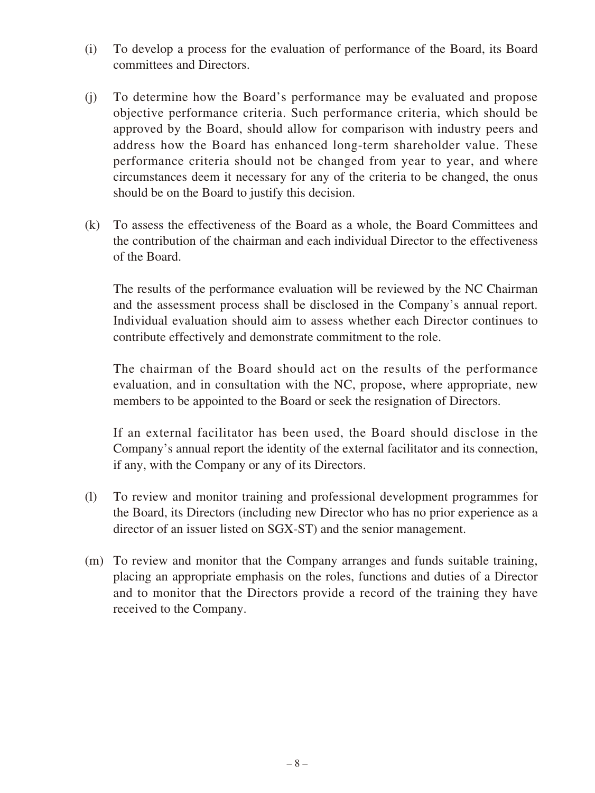- (i) To develop a process for the evaluation of performance of the Board, its Board committees and Directors.
- (j) To determine how the Board's performance may be evaluated and propose objective performance criteria. Such performance criteria, which should be approved by the Board, should allow for comparison with industry peers and address how the Board has enhanced long-term shareholder value. These performance criteria should not be changed from year to year, and where circumstances deem it necessary for any of the criteria to be changed, the onus should be on the Board to justify this decision.
- (k) To assess the effectiveness of the Board as a whole, the Board Committees and the contribution of the chairman and each individual Director to the effectiveness of the Board.

The results of the performance evaluation will be reviewed by the NC Chairman and the assessment process shall be disclosed in the Company's annual report. Individual evaluation should aim to assess whether each Director continues to contribute effectively and demonstrate commitment to the role.

The chairman of the Board should act on the results of the performance evaluation, and in consultation with the NC, propose, where appropriate, new members to be appointed to the Board or seek the resignation of Directors.

If an external facilitator has been used, the Board should disclose in the Company's annual report the identity of the external facilitator and its connection, if any, with the Company or any of its Directors.

- (l) To review and monitor training and professional development programmes for the Board, its Directors (including new Director who has no prior experience as a director of an issuer listed on SGX-ST) and the senior management.
- (m) To review and monitor that the Company arranges and funds suitable training, placing an appropriate emphasis on the roles, functions and duties of a Director and to monitor that the Directors provide a record of the training they have received to the Company.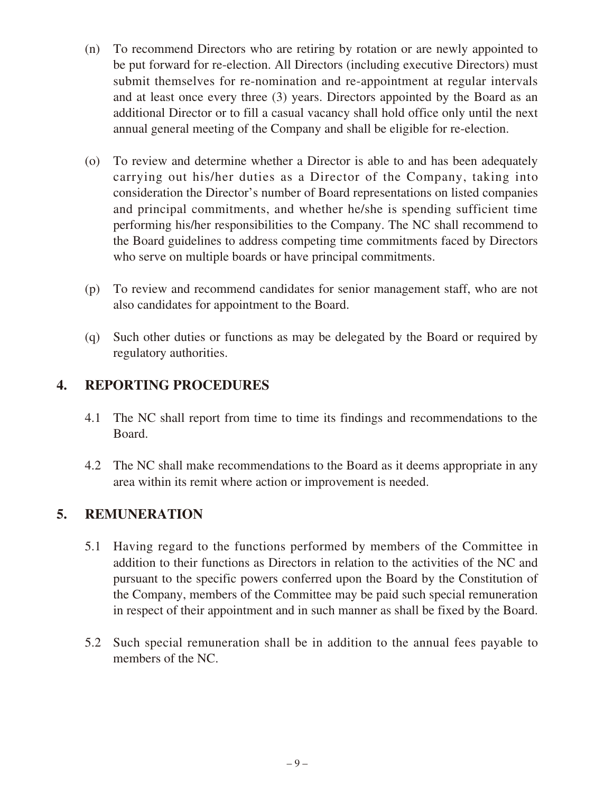- (n) To recommend Directors who are retiring by rotation or are newly appointed to be put forward for re-election. All Directors (including executive Directors) must submit themselves for re-nomination and re-appointment at regular intervals and at least once every three (3) years. Directors appointed by the Board as an additional Director or to fill a casual vacancy shall hold office only until the next annual general meeting of the Company and shall be eligible for re-election.
- (o) To review and determine whether a Director is able to and has been adequately carrying out his/her duties as a Director of the Company, taking into consideration the Director's number of Board representations on listed companies and principal commitments, and whether he/she is spending sufficient time performing his/her responsibilities to the Company. The NC shall recommend to the Board guidelines to address competing time commitments faced by Directors who serve on multiple boards or have principal commitments.
- (p) To review and recommend candidates for senior management staff, who are not also candidates for appointment to the Board.
- (q) Such other duties or functions as may be delegated by the Board or required by regulatory authorities.

# **4. REPORTING PROCEDURES**

- 4.1 The NC shall report from time to time its findings and recommendations to the Board.
- 4.2 The NC shall make recommendations to the Board as it deems appropriate in any area within its remit where action or improvement is needed.

#### **5. REMUNERATION**

- 5.1 Having regard to the functions performed by members of the Committee in addition to their functions as Directors in relation to the activities of the NC and pursuant to the specific powers conferred upon the Board by the Constitution of the Company, members of the Committee may be paid such special remuneration in respect of their appointment and in such manner as shall be fixed by the Board.
- 5.2 Such special remuneration shall be in addition to the annual fees payable to members of the NC.